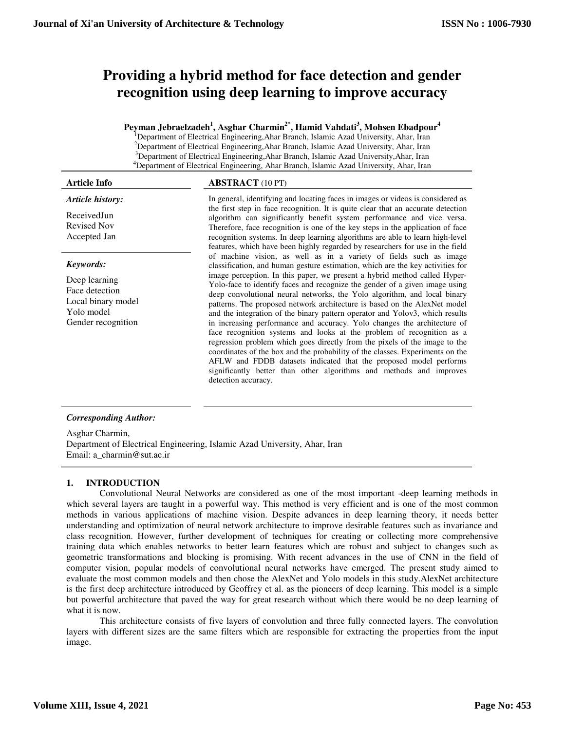# **Providing a hybrid method for face detection and gender recognition using deep learning to improve accuracy**

**Peyman Jebraelzadeh<sup>1</sup> , Asghar Charmin2\*, Hamid Vahdati<sup>3</sup> , Mohsen Ebadpour<sup>4</sup>**

<sup>1</sup>Department of Electrical Engineering,Ahar Branch, Islamic Azad University, Ahar, Iran <sup>2</sup>Department of Electrical Engineering, Ahar Branch, Islamic Azad University, Ahar, Iran <sup>3</sup>Department of Electrical Engineering, Ahar Branch, Islamic Azad University, Ahar, Iran <sup>4</sup>Department of Electrical Engineering, Ahar Branch, Islamic Azad University, Ahar, Iran

*Article history:* 

ReceivedJun Revised Nov Accepted Jan

# *Keywords:*

Deep learning Face detection Local binary model Yolo model Gender recognition

# **Article Info ABSTRACT** (10 PT)

In general, identifying and locating faces in images or videos is considered as the first step in face recognition. It is quite clear that an accurate detection algorithm can significantly benefit system performance and vice versa. Therefore, face recognition is one of the key steps in the application of face recognition systems. In deep learning algorithms are able to learn high-level features, which have been highly regarded by researchers for use in the field of machine vision, as well as in a variety of fields such as image classification, and human gesture estimation, which are the key activities for image perception. In this paper, we present a hybrid method called Hyper-Yolo-face to identify faces and recognize the gender of a given image using deep convolutional neural networks, the Yolo algorithm, and local binary patterns. The proposed network architecture is based on the AlexNet model and the integration of the binary pattern operator and Yolov3, which results in increasing performance and accuracy. Yolo changes the architecture of face recognition systems and looks at the problem of recognition as a regression problem which goes directly from the pixels of the image to the coordinates of the box and the probability of the classes. Experiments on the AFLW and FDDB datasets indicated that the proposed model performs significantly better than other algorithms and methods and improves detection accuracy.

# *Corresponding Author:*

Asghar Charmin, Department of Electrical Engineering, Islamic Azad University, Ahar, Iran Email: a\_charmin@sut.ac.ir

# **1. INTRODUCTION**

Convolutional Neural Networks are considered as one of the most important -deep learning methods in which several layers are taught in a powerful way. This method is very efficient and is one of the most common methods in various applications of machine vision. Despite advances in deep learning theory, it needs better understanding and optimization of neural network architecture to improve desirable features such as invariance and class recognition. However, further development of techniques for creating or collecting more comprehensive training data which enables networks to better learn features which are robust and subject to changes such as geometric transformations and blocking is promising. With recent advances in the use of CNN in the field of computer vision, popular models of convolutional neural networks have emerged. The present study aimed to evaluate the most common models and then chose the AlexNet and Yolo models in this study.AlexNet architecture is the first deep architecture introduced by Geoffrey et al. as the pioneers of deep learning. This model is a simple but powerful architecture that paved the way for great research without which there would be no deep learning of what it is now.

This architecture consists of five layers of convolution and three fully connected layers. The convolution layers with different sizes are the same filters which are responsible for extracting the properties from the input image.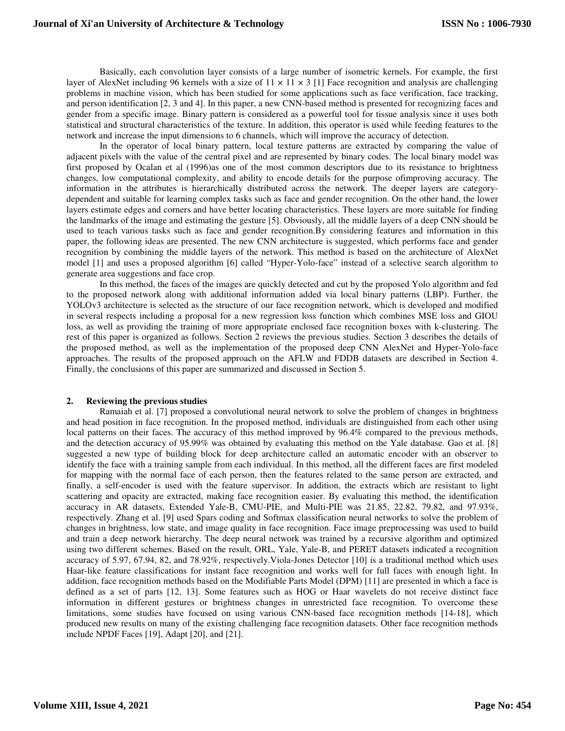Basically, each convolution layer consists of a large number of isometric kernels. For example, the first layer of AlexNet including 96 kernels with a size of  $11 \times 11 \times 3$  [1] Face recognition and analysis are challenging problems in machine vision, which has been studied for some applications such as face verification, face tracking, and person identification [2, 3 and 4]. In this paper, a new CNN-based method is presented for recognizing faces and gender from a specific image. Binary pattern is considered as a powerful tool for tissue analysis since it uses both statistical and structural characteristics of the texture. In addition, this operator is used while feeding features to the network and increase the input dimensions to 6 channels, which will improve the accuracy of detection.

In the operator of local binary pattern, local texture patterns are extracted by comparing the value of adjacent pixels with the value of the central pixel and are represented by binary codes. The local binary model was first proposed by Ocalan et al (1996)as one of the most common descriptors due to its resistance to brightness changes, low computational complexity, and ability to encode details for the purpose ofimproving accuracy. The information in the attributes is hierarchically distributed across the network. The deeper layers are categorydependent and suitable for learning complex tasks such as face and gender recognition. On the other hand, the lower layers estimate edges and corners and have better locating characteristics. These layers are more suitable for finding the landmarks of the image and estimating the gesture [5]. Obviously, all the middle layers of a deep CNN should be used to teach various tasks such as face and gender recognition.By considering features and information in this paper, the following ideas are presented. The new CNN architecture is suggested, which performs face and gender recognition by combining the middle layers of the network. This method is based on the architecture of AlexNet model [1] and uses a proposed algorithm [6] called "Hyper-Yolo-face" instead of a selective search algorithm to generate area suggestions and face crop.

In this method, the faces of the images are quickly detected and cut by the proposed Yolo algorithm and fed to the proposed network along with additional information added via local binary patterns (LBP). Further, the YOLOv3 architecture is selected as the structure of our face recognition network, which is developed and modified in several respects including a proposal for a new regression loss function which combines MSE loss and GIOU loss, as well as providing the training of more appropriate enclosed face recognition boxes with k-clustering. The rest of this paper is organized as follows. Section 2 reviews the previous studies. Section 3 describes the details of the proposed method, as well as the implementation of the proposed deep CNN AlexNet and Hyper-Yolo-face approaches. The results of the proposed approach on the AFLW and FDDB datasets are described in Section 4. Finally, the conclusions of this paper are summarized and discussed in Section 5.

## **2. Reviewing the previous studies**

Ramaiah et al. [7] proposed a convolutional neural network to solve the problem of changes in brightness and head position in face recognition. In the proposed method, individuals are distinguished from each other using local patterns on their faces. The accuracy of this method improved by 96.4% compared to the previous methods, and the detection accuracy of 95.99% was obtained by evaluating this method on the Yale database. Gao et al. [8] suggested a new type of building block for deep architecture called an automatic encoder with an observer to identify the face with a training sample from each individual. In this method, all the different faces are first modeled for mapping with the normal face of each person, then the features related to the same person are extracted, and finally, a self-encoder is used with the feature supervisor. In addition, the extracts which are resistant to light scattering and opacity are extracted, making face recognition easier. By evaluating this method, the identification accuracy in AR datasets, Extended Yale-B, CMU-PIE, and Multi-PIE was 21.85, 22.82, 79.82, and 97.93%, respectively. Zhang et al. [9] used Spars coding and Softmax classification neural networks to solve the problem of changes in brightness, low state, and image quality in face recognition. Face image preprocessing was used to build and train a deep network hierarchy. The deep neural network was trained by a recursive algorithm and optimized using two different schemes. Based on the result, ORL, Yale, Yale-B, and PERET datasets indicated a recognition accuracy of 5.97, 67.94, 82, and 78.92%, respectively.Viola-Jones Detector [10] is a traditional method which uses Haar-like feature classifications for instant face recognition and works well for full faces with enough light. In addition, face recognition methods based on the Modifiable Parts Model (DPM) [11] are presented in which a face is defined as a set of parts [12, 13]. Some features such as HOG or Haar wavelets do not receive distinct face information in different gestures or brightness changes in unrestricted face recognition. To overcome these limitations, some studies have focused on using various CNN-based face recognition methods [14-18], which produced new results on many of the existing challenging face recognition datasets. Other face recognition methods include NPDF Faces [19], Adapt [20], and [21].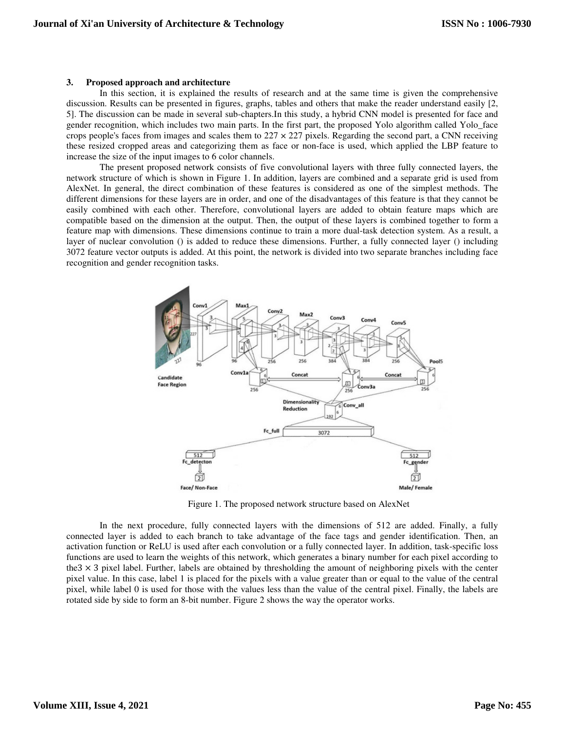#### **3. Proposed approach and architecture**

In this section, it is explained the results of research and at the same time is given the comprehensive discussion. Results can be presented in figures, graphs, tables and others that make the reader understand easily [2, 5]. The discussion can be made in several sub-chapters.In this study, a hybrid CNN model is presented for face and gender recognition, which includes two main parts. In the first part, the proposed Yolo algorithm called Yolo\_face crops people's faces from images and scales them to  $227 \times 227$  pixels. Regarding the second part, a CNN receiving these resized cropped areas and categorizing them as face or non-face is used, which applied the LBP feature to increase the size of the input images to 6 color channels.

The present proposed network consists of five convolutional layers with three fully connected layers, the network structure of which is shown in Figure 1. In addition, layers are combined and a separate grid is used from AlexNet. In general, the direct combination of these features is considered as one of the simplest methods. The different dimensions for these layers are in order, and one of the disadvantages of this feature is that they cannot be easily combined with each other. Therefore, convolutional layers are added to obtain feature maps which are compatible based on the dimension at the output. Then, the output of these layers is combined together to form a feature map with dimensions. These dimensions continue to train a more dual-task detection system. As a result, a layer of nuclear convolution () is added to reduce these dimensions. Further, a fully connected layer () including 3072 feature vector outputs is added. At this point, the network is divided into two separate branches including face recognition and gender recognition tasks.



Figure 1. The proposed network structure based on AlexNet

In the next procedure, fully connected layers with the dimensions of 512 are added. Finally, a fully connected layer is added to each branch to take advantage of the face tags and gender identification. Then, an activation function or ReLU is used after each convolution or a fully connected layer. In addition, task-specific loss functions are used to learn the weights of this network, which generates a binary number for each pixel according to the $3 \times 3$  pixel label. Further, labels are obtained by thresholding the amount of neighboring pixels with the center pixel value. In this case, label 1 is placed for the pixels with a value greater than or equal to the value of the central pixel, while label 0 is used for those with the values less than the value of the central pixel. Finally, the labels are rotated side by side to form an 8-bit number. Figure 2 shows the way the operator works.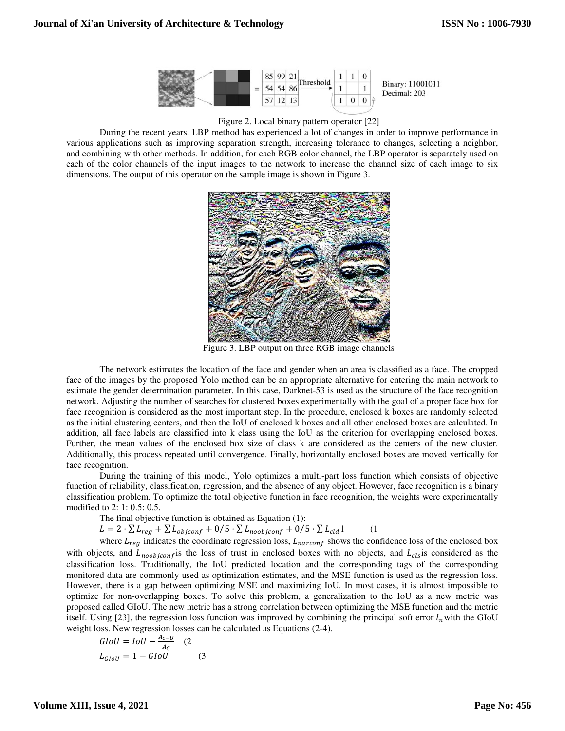

### Figure 2. Local binary pattern operator [22]

During the recent years, LBP method has experienced a lot of changes in order to improve performance in various applications such as improving separation strength, increasing tolerance to changes, selecting a neighbor, and combining with other methods. In addition, for each RGB color channel, the LBP operator is separately used on each of the color channels of the input images to the network to increase the channel size of each image to six dimensions. The output of this operator on the sample image is shown in Figure 3.



Figure 3. LBP output on three RGB image channels

The network estimates the location of the face and gender when an area is classified as a face. The cropped face of the images by the proposed Yolo method can be an appropriate alternative for entering the main network to estimate the gender determination parameter. In this case, Darknet-53 is used as the structure of the face recognition network. Adjusting the number of searches for clustered boxes experimentally with the goal of a proper face box for face recognition is considered as the most important step. In the procedure, enclosed k boxes are randomly selected as the initial clustering centers, and then the IoU of enclosed k boxes and all other enclosed boxes are calculated. In addition, all face labels are classified into k class using the IoU as the criterion for overlapping enclosed boxes. Further, the mean values of the enclosed box size of class k are considered as the centers of the new cluster. Additionally, this process repeated until convergence. Finally, horizontally enclosed boxes are moved vertically for face recognition.

During the training of this model, Yolo optimizes a multi-part loss function which consists of objective function of reliability, classification, regression, and the absence of any object. However, face recognition is a binary classification problem. To optimize the total objective function in face recognition, the weights were experimentally modified to 2: 1: 0.5: 0.5.

The final objective function is obtained as Equation (1):

 $L = 2 \cdot \sum L_{reg} + \sum L_{objconf} + 0/5 \cdot \sum L_{noobjconf} + 0/5 \cdot \sum L_{cld} 1$  (1

where  $L_{reg}$  indicates the coordinate regression loss,  $L_{narconf}$  shows the confidence loss of the enclosed box with objects, and  $L_{noobiconf}$  is the loss of trust in enclosed boxes with no objects, and  $L_{cls}$  is considered as the classification loss. Traditionally, the IoU predicted location and the corresponding tags of the corresponding monitored data are commonly used as optimization estimates, and the MSE function is used as the regression loss. However, there is a gap between optimizing MSE and maximizing IoU. In most cases, it is almost impossible to optimize for non-overlapping boxes. To solve this problem, a generalization to the IoU as a new metric was proposed called GIoU. The new metric has a strong correlation between optimizing the MSE function and the metric itself. Using [23], the regression loss function was improved by combining the principal soft error  $l_n$  with the GIoU weight loss. New regression losses can be calculated as Equations (2-4).

$$
GIoU = IoU - \frac{A_{c-U}}{A_C}
$$
 (2  

$$
L_{GIoU} = 1 - GIoU
$$
 (3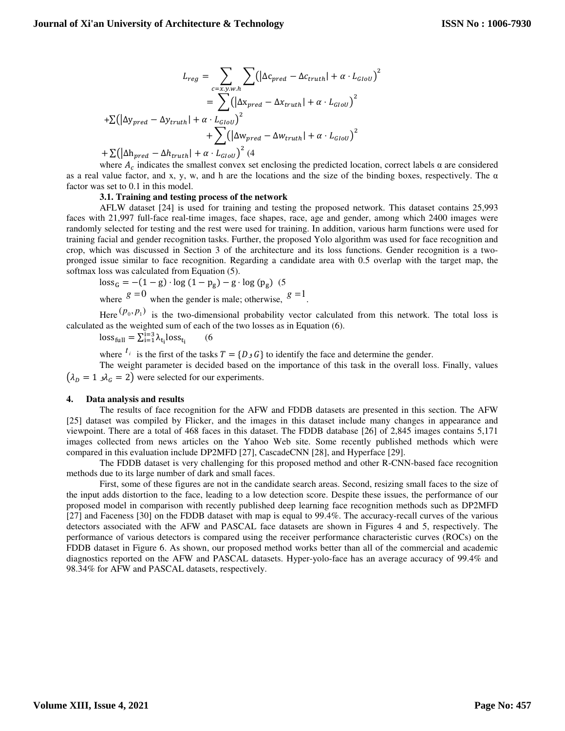$$
L_{reg} = \sum_{c=x,y,w,h} \sum (\left| \Delta c_{pred} - \Delta c_{truth} \right| + \alpha \cdot L_{GIoU})^{2}
$$
  
= 
$$
\sum (\left| \Delta x_{pred} - \Delta x_{truth} \right| + \alpha \cdot L_{GIoU})^{2}
$$
  
+ 
$$
\sum (\left| \Delta v_{pred} - \Delta w_{truth} \right| + \alpha \cdot L_{GIoU})^{2}
$$
  
+ 
$$
\sum (\left| \Delta w_{pred} - \Delta w_{truth} \right| + \alpha \cdot L_{GIoU})^{2}
$$

 $+\sum(\left|\Delta h_{pred} - \Delta h_{truth}\right| + \alpha \cdot L_{GIoU}$ <sup>2</sup> (4

where  $A_c$  indicates the smallest convex set enclosing the predicted location, correct labels  $\alpha$  are considered as a real value factor, and x, y, w, and h are the locations and the size of the binding boxes, respectively. The  $\alpha$ factor was set to 0.1 in this model.

#### **3.1. Training and testing process of the network**

AFLW dataset [24] is used for training and testing the proposed network. This dataset contains 25,993 faces with 21,997 full-face real-time images, face shapes, race, age and gender, among which 2400 images were randomly selected for testing and the rest were used for training. In addition, various harm functions were used for training facial and gender recognition tasks. Further, the proposed Yolo algorithm was used for face recognition and crop, which was discussed in Section 3 of the architecture and its loss functions. Gender recognition is a twopronged issue similar to face recognition. Regarding a candidate area with 0.5 overlap with the target map, the softmax loss was calculated from Equation (5).

 $loss_G = -(1 - g) \cdot log(1 - p_g) - g \cdot log(p_g)$  (5 where  $g = 0$  when the gender is male; otherwise,  $g = 1$ .

Here  $(p_0, p_1)$  is the two-dimensional probability vector calculated from this network. The total loss is calculated as the weighted sum of each of the two losses as in Equation (6).

 $loss_{\text{full}} = \sum_{i=1}^{i=3} \lambda_{t_i} loss_{t_i}$  (6

 $\chi$  of the tasks  $T = \{D \cup G\}$  to identify the face and determine the gender.

The weight parameter is decided based on the importance of this task in the overall loss. Finally, values  $(\lambda_p = 1 \, \lambda_c = 2)$  were selected for our experiments.

#### **4. Data analysis and results**

The results of face recognition for the AFW and FDDB datasets are presented in this section. The AFW [25] dataset was compiled by Flicker, and the images in this dataset include many changes in appearance and viewpoint. There are a total of 468 faces in this dataset. The FDDB database [26] of 2,845 images contains 5,171 images collected from news articles on the Yahoo Web site. Some recently published methods which were compared in this evaluation include DP2MFD [27], CascadeCNN [28], and Hyperface [29].

The FDDB dataset is very challenging for this proposed method and other R-CNN-based face recognition methods due to its large number of dark and small faces.

First, some of these figures are not in the candidate search areas. Second, resizing small faces to the size of the input adds distortion to the face, leading to a low detection score. Despite these issues, the performance of our proposed model in comparison with recently published deep learning face recognition methods such as DP2MFD [27] and Faceness [30] on the FDDB dataset with map is equal to 99.4%. The accuracy-recall curves of the various detectors associated with the AFW and PASCAL face datasets are shown in Figures 4 and 5, respectively. The performance of various detectors is compared using the receiver performance characteristic curves (ROCs) on the FDDB dataset in Figure 6. As shown, our proposed method works better than all of the commercial and academic diagnostics reported on the AFW and PASCAL datasets. Hyper-yolo-face has an average accuracy of 99.4% and 98.34% for AFW and PASCAL datasets, respectively.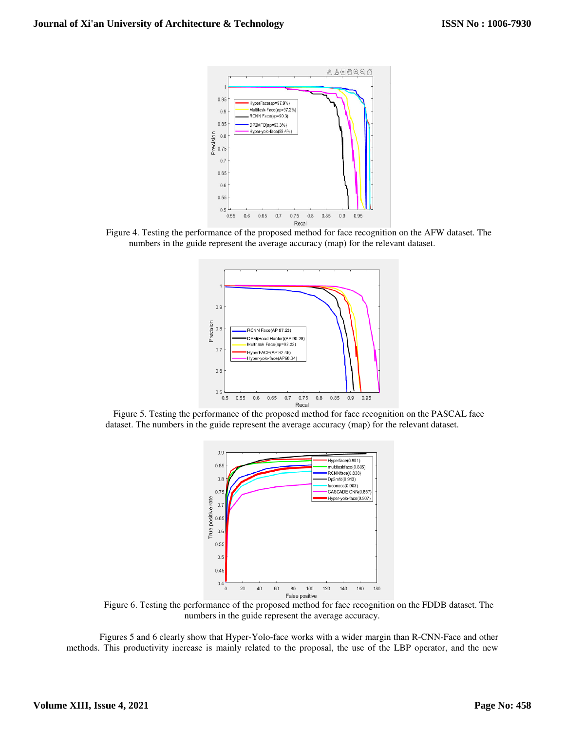

Figure 4. Testing the performance of the proposed method for face recognition on the AFW dataset. The numbers in the guide represent the average accuracy (map) for the relevant dataset.



Figure 5. Testing the performance of the proposed method for face recognition on the PASCAL face dataset. The numbers in the guide represent the average accuracy (map) for the relevant dataset. the relevant dataset.



Figure 6. Testing the performance of the proposed method for face recognition on the FDDB dataset. The numbers in the guide represent the average accuracy. Figure 6. Testing the performance of the proposed method for face recognition on the FDDB dataset. The<br>numbers in the guide represent the average accuracy.<br>Figures 5 and 6 clearly show that Hyper-Yolo-face works with a wid

methods. This productivity increase is mainly related to the proposal, the use of the LBP operator, and the new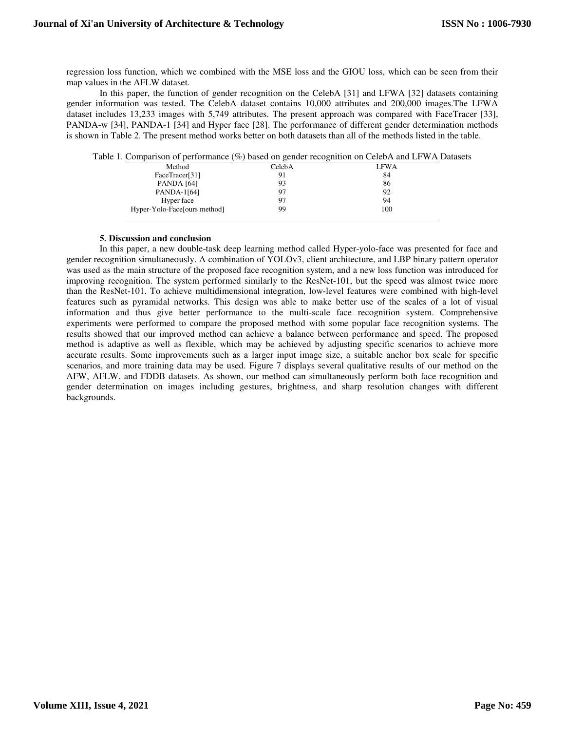regression loss function, which we combined with the MSE loss and the GIOU loss, which can be seen from their map values in the AFLW dataset.

In this paper, the function of gender recognition on the CelebA [31] and LFWA [32] datasets containing gender information was tested. The CelebA dataset contains 10,000 attributes and 200,000 images.The LFWA dataset includes 13,233 images with 5,749 attributes. The present approach was compared with FaceTracer [33], PANDA-w [34], PANDA-1 [34] and Hyper face [28]. The performance of different gender determination methods is shown in Table 2. The present method works better on both datasets than all of the methods listed in the table.

| Table 1. Comparison of performance (%) based on gender recognition on CelebA and LFWA Datasets |        |             |
|------------------------------------------------------------------------------------------------|--------|-------------|
| Method                                                                                         | CelebA | <b>LFWA</b> |
| FaceTracer[31]                                                                                 | 91     | 84          |
| PANDA-[64]                                                                                     | 93     | 86          |
| PANDA-1[64]                                                                                    | -97    | 92          |
| Hyper face                                                                                     | -97    | 94          |
| Hyper-Yolo-Face [ours method]                                                                  | 99     | 100         |
|                                                                                                |        |             |

### **5. Discussion and conclusion**

In this paper, a new double-task deep learning method called Hyper-yolo-face was presented for face and gender recognition simultaneously. A combination of YOLOv3, client architecture, and LBP binary pattern operator was used as the main structure of the proposed face recognition system, and a new loss function was introduced for improving recognition. The system performed similarly to the ResNet-101, but the speed was almost twice more than the ResNet-101. To achieve multidimensional integration, low-level features were combined with high-level features such as pyramidal networks. This design was able to make better use of the scales of a lot of visual information and thus give better performance to the multi-scale face recognition system. Comprehensive experiments were performed to compare the proposed method with some popular face recognition systems. The results showed that our improved method can achieve a balance between performance and speed. The proposed method is adaptive as well as flexible, which may be achieved by adjusting specific scenarios to achieve more accurate results. Some improvements such as a larger input image size, a suitable anchor box scale for specific scenarios, and more training data may be used. Figure 7 displays several qualitative results of our method on the AFW, AFLW, and FDDB datasets. As shown, our method can simultaneously perform both face recognition and gender determination on images including gestures, brightness, and sharp resolution changes with different backgrounds.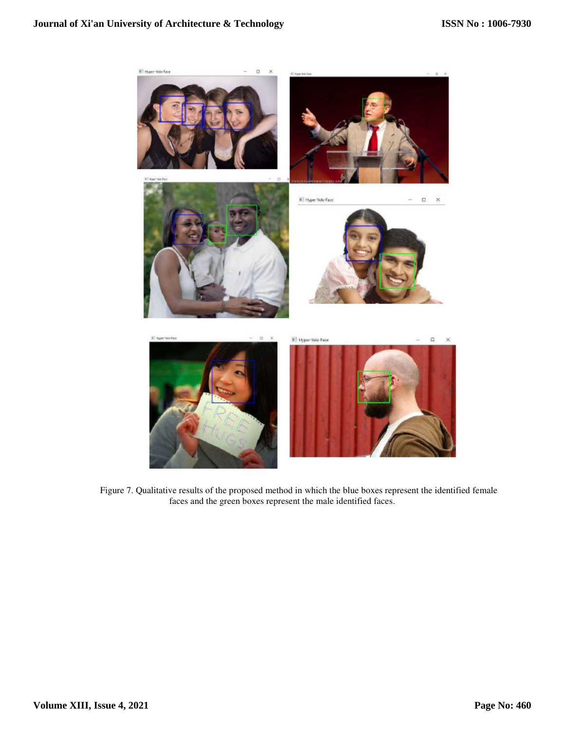

Figure 7. Qualitative results of the proposed method in which the blue boxes represent the identified female faces and the green boxes represent the male identified faces.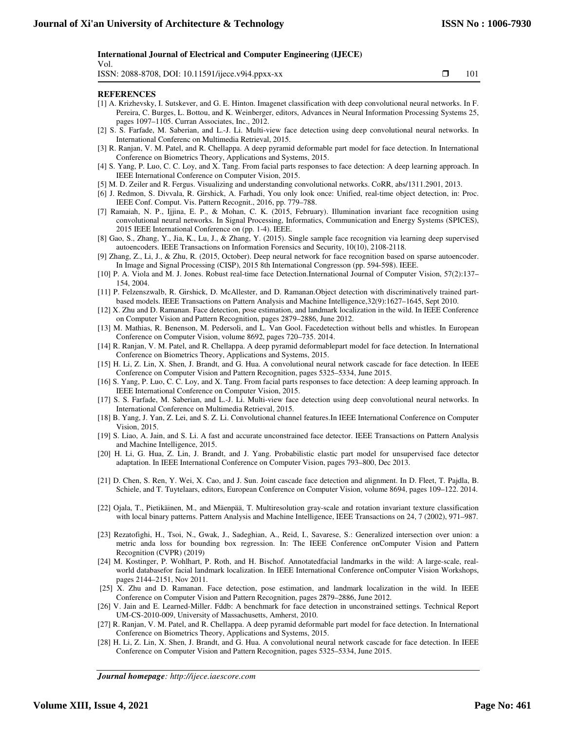#### **International Journal of Electrical and Computer Engineering (IJECE)**

Vol.

ISSN: 2088-8708, DOI: 10.11591/ijece.v9i4.ppxx-xx  $\square$  101

֡֡֡֡

#### **REFERENCES**

- [1] A. Krizhevsky, I. Sutskever, and G. E. Hinton. Imagenet classification with deep convolutional neural networks. In F. Pereira, C. Burges, L. Bottou, and K. Weinberger, editors, Advances in Neural Information Processing Systems 25, pages 1097–1105. Curran Associates, Inc., 2012.
- [2] S. S. Farfade, M. Saberian, and L.-J. Li. Multi-view face detection using deep convolutional neural networks. In International Conferenc on Multimedia Retrieval, 2015.
- [3] R. Ranjan, V. M. Patel, and R. Chellappa. A deep pyramid deformable part model for face detection. In International Conference on Biometrics Theory, Applications and Systems, 2015.
- [4] S. Yang, P. Luo, C. C. Loy, and X. Tang. From facial parts responses to face detection: A deep learning approach. In IEEE International Conference on Computer Vision, 2015.
- [5] M. D. Zeiler and R. Fergus. Visualizing and understanding convolutional networks. CoRR, abs/1311.2901, 2013.
- [6] J. Redmon, S. Divvala, R. Girshick, A. Farhadi, You only look once: Unified, real-time object detection, in: Proc. IEEE Conf. Comput. Vis. Pattern Recognit., 2016, pp. 779–788.
- [7] Ramaiah, N. P., Ijjina, E. P., & Mohan, C. K. (2015, February). Illumination invariant face recognition using convolutional neural networks. In Signal Processing, Informatics, Communication and Energy Systems (SPICES), 2015 IEEE International Conference on (pp. 1-4). IEEE.
- [8] Gao, S., Zhang, Y., Jia, K., Lu, J., & Zhang, Y. (2015). Single sample face recognition via learning deep supervised autoencoders. IEEE Transactions on Information Forensics and Security, 10(10), 2108-2118.
- [9] Zhang, Z., Li, J., & Zhu, R. (2015, October). Deep neural network for face recognition based on sparse autoencoder. In Image and Signal Processing (CISP), 2015 8th International Congresson (pp. 594-598). IEEE.
- [10] P. A. Viola and M. J. Jones. Robust real-time face Detection.International Journal of Computer Vision, 57(2):137– 154, 2004.
- [11] P. Felzenszwalb, R. Girshick, D. McAllester, and D. Ramanan.Object detection with discriminatively trained partbased models. IEEE Transactions on Pattern Analysis and Machine Intelligence,32(9):1627–1645, Sept 2010.
- [12] X. Zhu and D. Ramanan. Face detection, pose estimation, and landmark localization in the wild. In IEEE Conference on Computer Vision and Pattern Recognition, pages 2879–2886, June 2012.
- [13] M. Mathias, R. Benenson, M. Pedersoli, and L. Van Gool. Facedetection without bells and whistles. In European Conference on Computer Vision, volume 8692, pages 720–735. 2014.
- [14] R. Ranjan, V. M. Patel, and R. Chellappa. A deep pyramid deformablepart model for face detection. In International Conference on Biometrics Theory, Applications and Systems, 2015.
- [15] H. Li, Z. Lin, X. Shen, J. Brandt, and G. Hua. A convolutional neural network cascade for face detection. In IEEE Conference on Computer Vision and Pattern Recognition, pages 5325–5334, June 2015.
- [16] S. Yang, P. Luo, C. C. Loy, and X. Tang. From facial parts responses to face detection: A deep learning approach. In IEEE International Conference on Computer Vision, 2015.
- [17] S. S. Farfade, M. Saberian, and L.-J. Li. Multi-view face detection using deep convolutional neural networks. In International Conference on Multimedia Retrieval, 2015.
- [18] B. Yang, J. Yan, Z. Lei, and S. Z. Li. Convolutional channel features.In IEEE International Conference on Computer Vision, 2015.
- [19] S. Liao, A. Jain, and S. Li. A fast and accurate unconstrained face detector. IEEE Transactions on Pattern Analysis and Machine Intelligence, 2015.
- [20] H. Li, G. Hua, Z. Lin, J. Brandt, and J. Yang. Probabilistic elastic part model for unsupervised face detector adaptation. In IEEE International Conference on Computer Vision, pages 793–800, Dec 2013.
- [21] D. Chen, S. Ren, Y. Wei, X. Cao, and J. Sun. Joint cascade face detection and alignment. In D. Fleet, T. Pajdla, B. Schiele, and T. Tuytelaars, editors, European Conference on Computer Vision, volume 8694, pages 109–122. 2014.
- [22] Ojala, T., Pietikäinen, M., and Mäenpää, T. Multiresolution gray-scale and rotation invariant texture classification with local binary patterns. Pattern Analysis and Machine Intelligence, IEEE Transactions on 24, 7 (2002), 971–987.
- [23] Rezatofighi, H., Tsoi, N., Gwak, J., Sadeghian, A., Reid, I., Savarese, S.: Generalized intersection over union: a metric anda loss for bounding box regression. In: The IEEE Conference onComputer Vision and Pattern Recognition (CVPR) (2019)
- [24] M. Kostinger, P. Wohlhart, P. Roth, and H. Bischof. Annotatedfacial landmarks in the wild: A large-scale, realworld databasefor facial landmark localization. In IEEE International Conference onComputer Vision Workshops, pages 2144–2151, Nov 2011.
- [25] X. Zhu and D. Ramanan. Face detection, pose estimation, and landmark localization in the wild. In IEEE Conference on Computer Vision and Pattern Recognition, pages 2879–2886, June 2012.
- [26] V. Jain and E. Learned-Miller. Fddb: A benchmark for face detection in unconstrained settings. Technical Report UM-CS-2010-009, University of Massachusetts, Amherst, 2010.
- [27] R. Ranjan, V. M. Patel, and R. Chellappa. A deep pyramid deformable part model for face detection. In International Conference on Biometrics Theory, Applications and Systems, 2015.
- [28] H. Li, Z. Lin, X. Shen, J. Brandt, and G. Hua. A convolutional neural network cascade for face detection. In IEEE Conference on Computer Vision and Pattern Recognition, pages 5325–5334, June 2015.

*Journal homepage: http://ijece.iaescore.com*